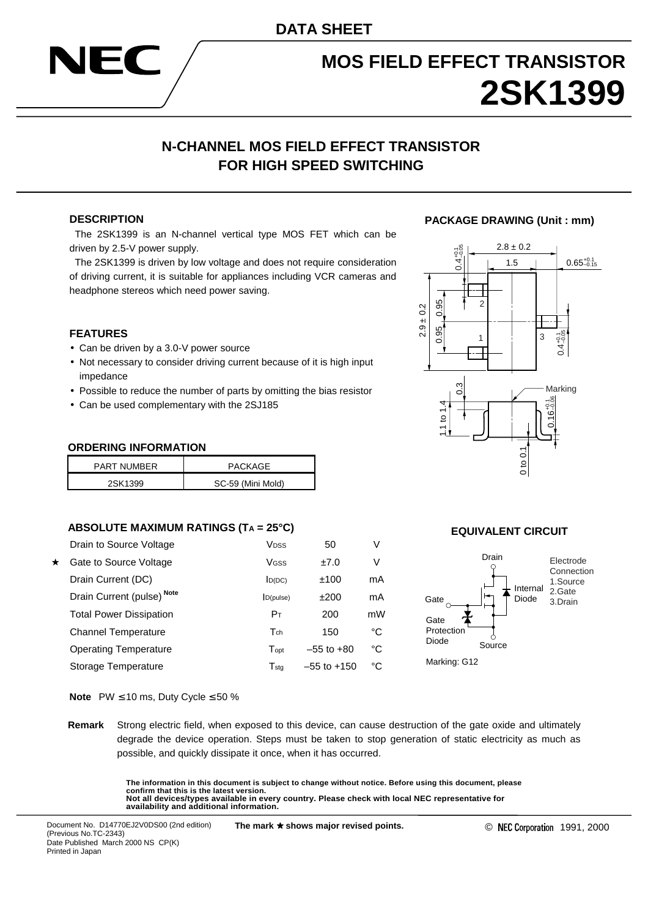# **MOS FIELD EFFECT TRANSISTOR 2SK1399**

## **N-CHANNEL MOS FIELD EFFECT TRANSISTOR FOR HIGH SPEED SWITCHING**

#### **DESCRIPTION**

 The 2SK1399 is an N-channel vertical type MOS FET which can be driven by 2.5-V power supply.

 The 2SK1399 is driven by low voltage and does not require consideration of driving current, it is suitable for appliances including VCR cameras and headphone stereos which need power saving.

#### **FEATURES**

- Can be driven by a 3.0-V power source
- Not necessary to consider driving current because of it is high input impedance
- Possible to reduce the number of parts by omitting the bias resistor
- Can be used complementary with the 2SJ185

#### **ORDERING INFORMATION**

| <b>PART NUMBER</b> | PACKAGE           |
|--------------------|-------------------|
| 2SK1399            | SC-59 (Mini Mold) |

#### **ABSOLUTE MAXIMUM RATINGS (TA = 25°C)**

|         | Drain to Source Voltage        | <b>V</b> <sub>DSS</sub> | 50              | V  |
|---------|--------------------------------|-------------------------|-----------------|----|
| $\star$ | Gate to Source Voltage         | Vgss                    | ±7.0            | V  |
|         | Drain Current (DC)             | D(DC)                   | ±100            | mA |
|         | Drain Current (pulse) Note     | D(pulse)                | ±200            | mA |
|         | <b>Total Power Dissipation</b> | Pт                      | 200             | mW |
|         | <b>Channel Temperature</b>     | $T_{ch}$                | 150             | °C |
|         | <b>Operating Temperature</b>   | Topt                    | $-55$ to $+80$  | °C |
|         | Storage Temperature            | $T_{\sf stq}$           | $-55$ to $+150$ | °C |

#### **PACKAGE DRAWING (Unit : mm)**



#### **EQUIVALENT CIRCUIT**



**Note** PW ≤ 10 ms, Duty Cycle ≤ 50 %

**Remark** Strong electric field, when exposed to this device, can cause destruction of the gate oxide and ultimately degrade the device operation. Steps must be taken to stop generation of static electricity as much as possible, and quickly dissipate it once, when it has occurred.

> **The information in this document is subject to change without notice. Before using this document, please confirm that this is the latest version. Not all devices/types available in every country. Please check with local NEC representative for availability and additional information.**

Document No. D14770EJ2V0DS00 (2nd edition) (Previous No.TC-2343) Date Published March 2000 NS CP(K) Printed in Japan

**The mark** ★ **shows major revised points.**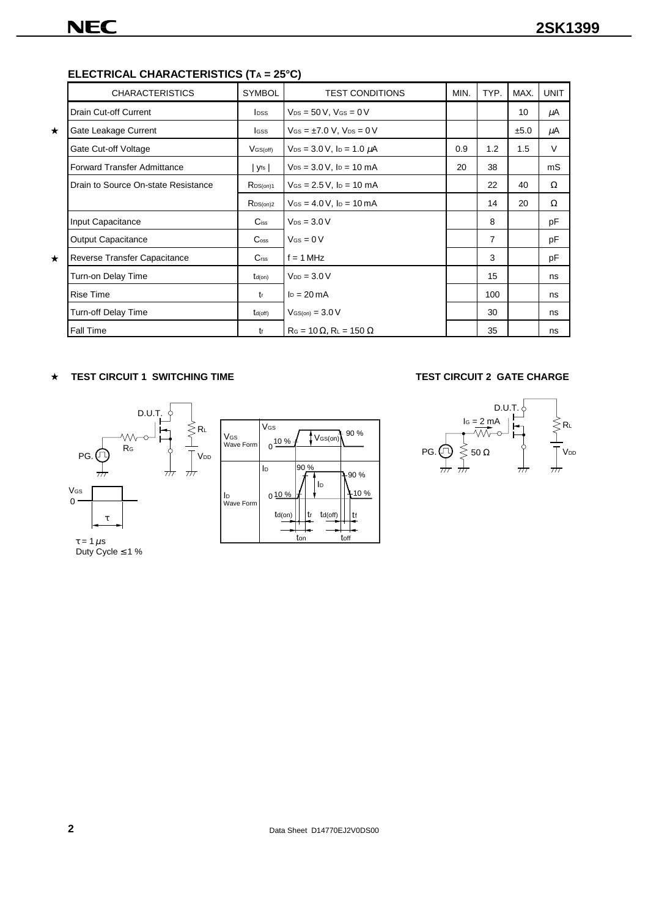### **ELECTRICAL CHARACTERISTICS (TA = 25°C)**

**NEC** 

|         | <b>CHARACTERISTICS</b>              | <b>SYMBOL</b>               | <b>TEST CONDITIONS</b>                 | MIN. | TYP. | MAX. | <b>UNIT</b> |
|---------|-------------------------------------|-----------------------------|----------------------------------------|------|------|------|-------------|
|         | Drain Cut-off Current               | <b>I</b> <sub>pss</sub>     | $V_{DS}$ = 50 V, $V_{GS}$ = 0 V        |      |      | 10   | μA          |
| $\star$ | Gate Leakage Current                | lgss                        | $V_{GS} = \pm 7.0 V$ , $V_{DS} = 0 V$  |      |      | ±5.0 | μA          |
|         | Gate Cut-off Voltage                | $V$ GS(off)                 | $V_{DS} = 3.0 V$ , $I_D = 1.0 \mu A$   | 0.9  | 1.2  | 1.5  | V           |
|         | <b>Forward Transfer Admittance</b>  | yfs                         | $V_{DS} = 3.0 V$ , $I_D = 10$ mA       | 20   | 38   |      | mS          |
|         | Drain to Source On-state Resistance | RDS(0n)1                    | $V_{GS} = 2.5 V$ , $I_D = 10$ mA       |      | 22   | 40   | $\Omega$    |
|         |                                     | $R_{DS(on)2}$               | $V_{GS} = 4.0 V$ , $I_D = 10 mA$       |      | 14   | 20   | Ω           |
|         | Input Capacitance                   | $C$ <sub>iss</sub>          | $V_{DS} = 3.0 V$                       |      | 8    |      | pF          |
|         | <b>Output Capacitance</b>           | $\mathsf{C}$ <sub>oss</sub> | $V$ Gs = 0 V                           |      | 7    |      | pF          |
| $\star$ | Reverse Transfer Capacitance        | C <sub>rss</sub>            | $f = 1 MHz$                            |      | 3    |      | pF          |
|         | Turn-on Delay Time                  | $t_{d(on)}$                 | $V_{DD} = 3.0 V$                       |      | 15   |      | ns          |
|         | <b>Rise Time</b>                    | $t_{r}$                     | $I_D = 20 \text{ mA}$                  |      | 100  |      | ns          |
|         | Turn-off Delay Time                 | $t_{d(off)}$                | $V$ <sub>GS(on)</sub> = $3.0$ V        |      | 30   |      | ns          |
|         | Fall Time                           | tf                          | $R_G = 10 \Omega$ , $R_L = 150 \Omega$ |      | 35   |      | ns          |

#### **TEST CIRCUIT 1 SWITCHING TIME TEST CIRCUIT 2 GATE CHARGE** ★



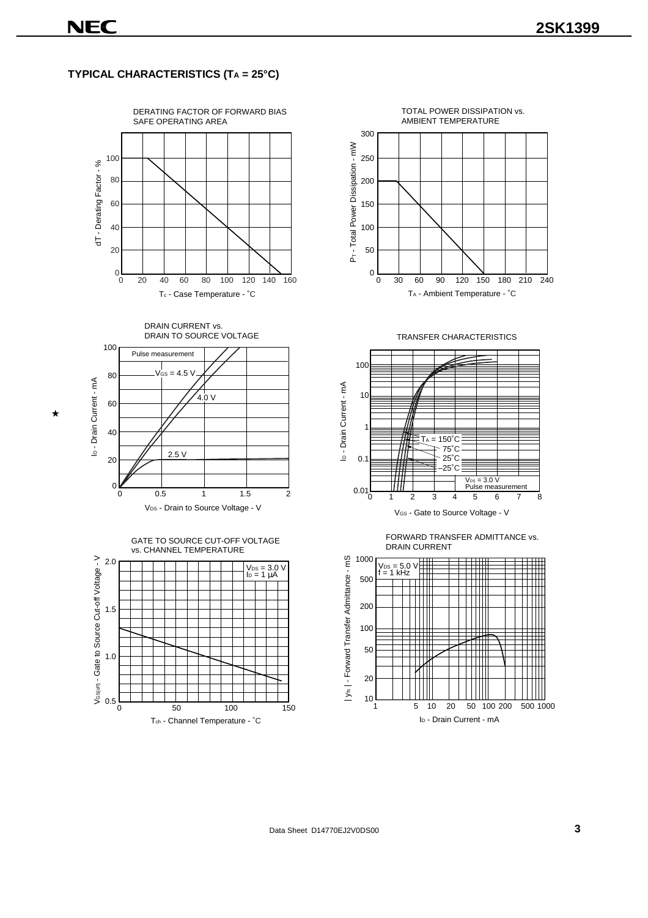#### **TYPICAL CHARACTERISTICS (TA = 25°C)**



DRAIN CURRENT vs. DRAIN TO SOURCE VOLTAGE

 $V_{GS}$  = 4.5 V

Pulse measurement

 $4.0 V$ 

80

★

100











I<sub>D</sub> - Drain Current - mA ID - Drain Current - mA 60 40 2.5 V 20 0 0 0.5 2 1 1.5 V<sub>DS</sub> - Drain to Source Voltage - V GATE TO SOURCE CUT-OFF VOLTAGE vs. CHANNEL TEMPERATURE Vestori - Gate to Source Cut-off Voltage - V 2.0 Vɒs = 3.0 V<br>Iɒ = 1 μA 1.5



Data Sheet D14770EJ2V0DS00 **3**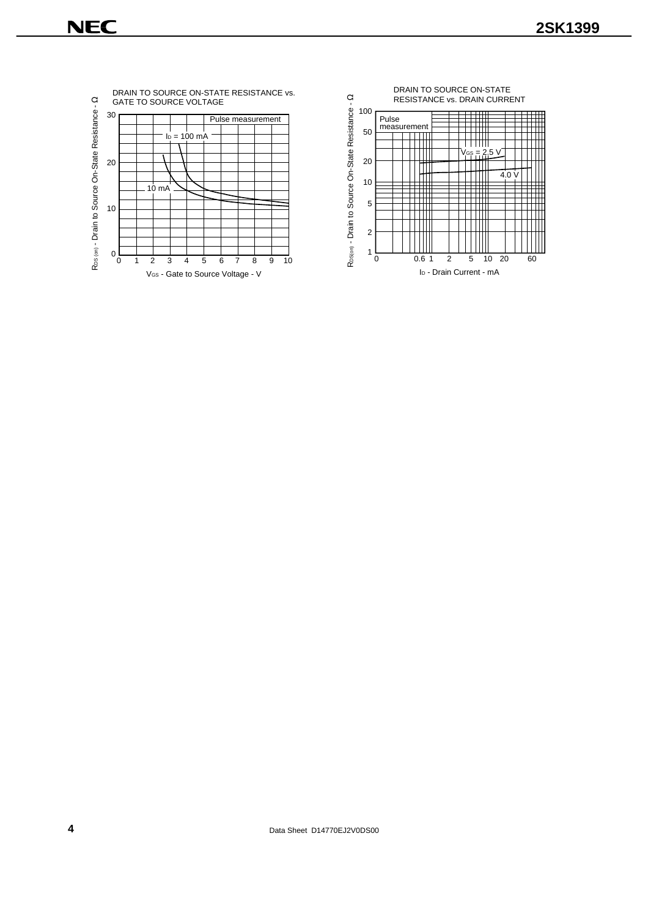



**4** Data Sheet D14770EJ2V0DS00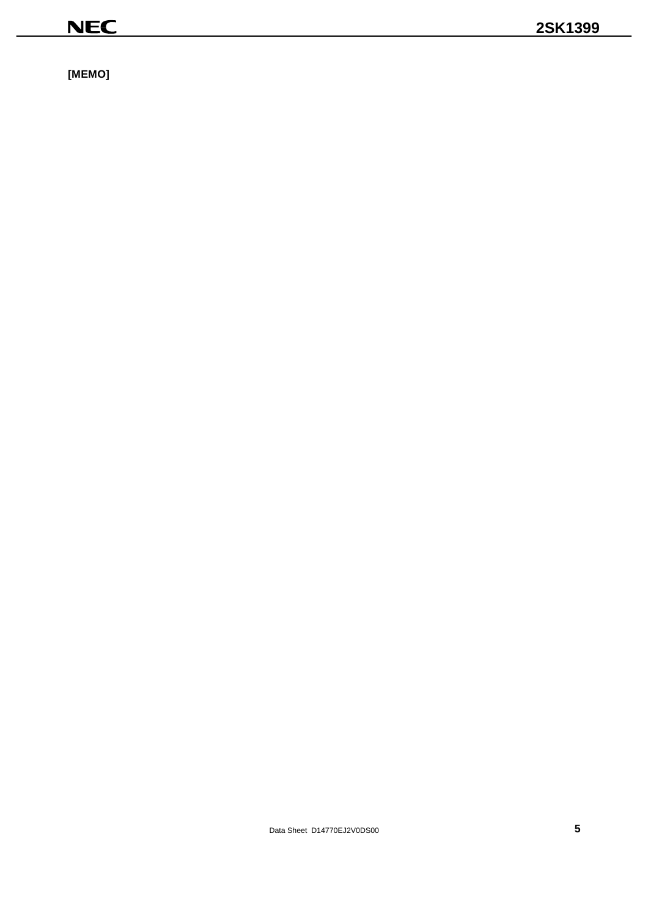$[MEMO]$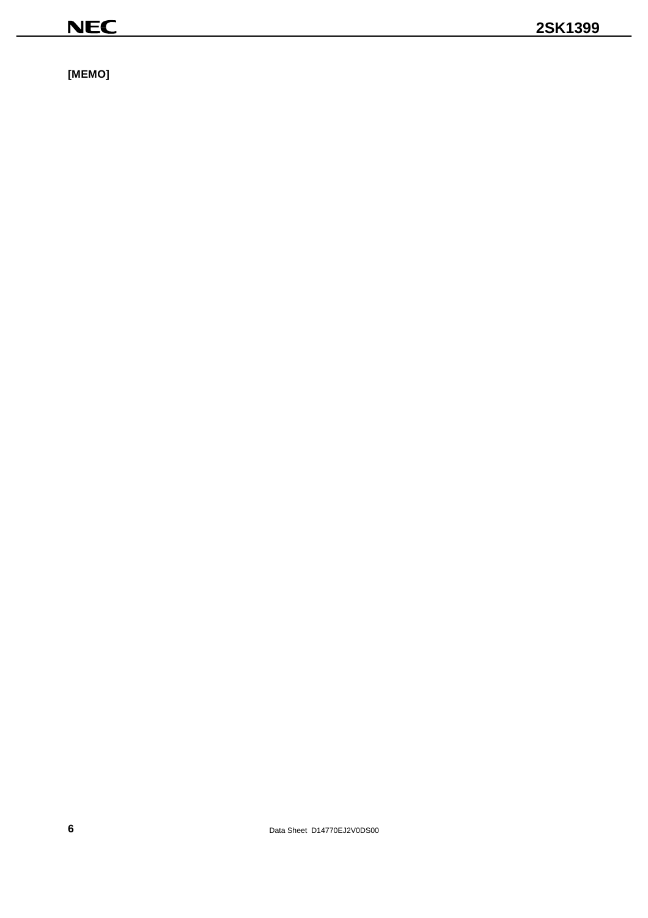$[MEMO]$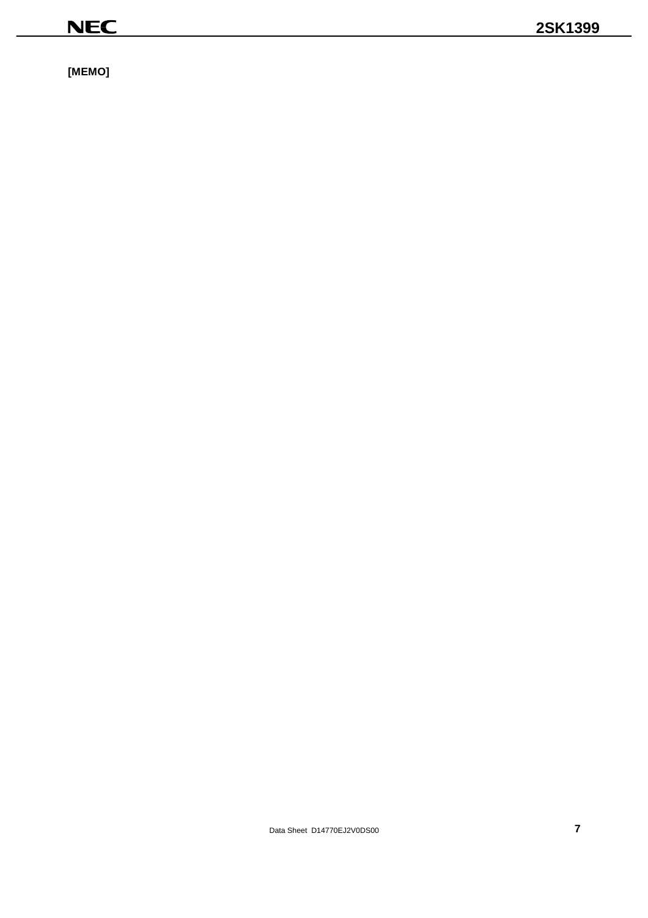$[MEMO]$